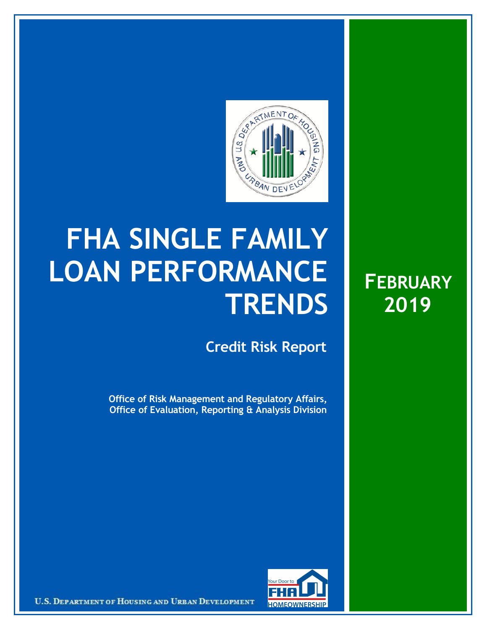

## **FHA SINGLE FAMILY LOAN PERFORMANCE TRENDS**

**Credit Risk Report**

**Office of Risk Management and Regulatory Affairs, Office of Evaluation, Reporting & Analysis Division**





U.S. DEPARTMENT OF HOUSING AND URBAN DEVELOPMENT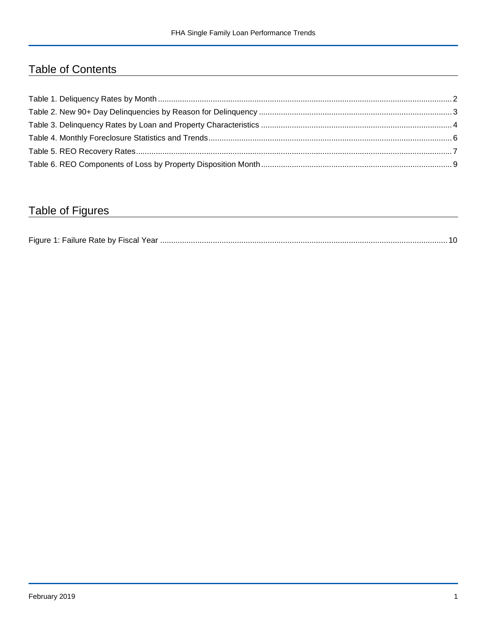## Table of Contents

## Table of Figures

| Figure 1 |  |
|----------|--|
|----------|--|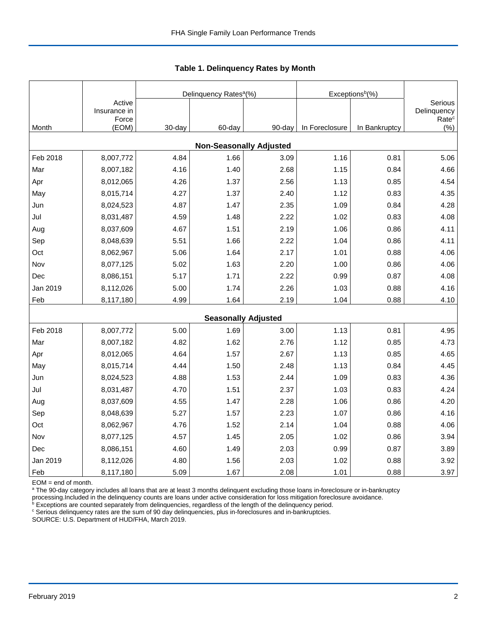|          |                                 |        | Delinquency Rates <sup>a</sup> (%) |        | Exceptions <sup>b</sup> (%) |               |                                             |
|----------|---------------------------------|--------|------------------------------------|--------|-----------------------------|---------------|---------------------------------------------|
|          | Active<br>Insurance in<br>Force |        |                                    |        |                             |               | Serious<br>Delinquency<br>Rate <sup>c</sup> |
| Month    | (EOM)                           | 30-day | 60-day                             | 90-day | In Foreclosure              | In Bankruptcy | (% )                                        |
|          |                                 |        | <b>Non-Seasonally Adjusted</b>     |        |                             |               |                                             |
| Feb 2018 | 8,007,772                       | 4.84   | 1.66                               | 3.09   | 1.16                        | 0.81          | 5.06                                        |
| Mar      | 8,007,182                       | 4.16   | 1.40                               | 2.68   | 1.15                        | 0.84          | 4.66                                        |
| Apr      | 8,012,065                       | 4.26   | 1.37                               | 2.56   | 1.13                        | 0.85          | 4.54                                        |
| May      | 8,015,714                       | 4.27   | 1.37                               | 2.40   | 1.12                        | 0.83          | 4.35                                        |
| Jun      | 8,024,523                       | 4.87   | 1.47                               | 2.35   | 1.09                        | 0.84          | 4.28                                        |
| Jul      | 8,031,487                       | 4.59   | 1.48                               | 2.22   | 1.02                        | 0.83          | 4.08                                        |
| Aug      | 8,037,609                       | 4.67   | 1.51                               | 2.19   | 1.06                        | 0.86          | 4.11                                        |
| Sep      | 8,048,639                       | 5.51   | 1.66                               | 2.22   | 1.04                        | 0.86          | 4.11                                        |
| Oct      | 8,062,967                       | 5.06   | 1.64                               | 2.17   | 1.01                        | 0.88          | 4.06                                        |
| Nov      | 8,077,125                       | 5.02   | 1.63                               | 2.20   | 1.00                        | 0.86          | 4.06                                        |
| Dec      | 8,086,151                       | 5.17   | 1.71                               | 2.22   | 0.99                        | 0.87          | 4.08                                        |
| Jan 2019 | 8,112,026                       | 5.00   | 1.74                               | 2.26   | 1.03                        | 0.88          | 4.16                                        |
| Feb      | 8,117,180                       | 4.99   | 1.64                               | 2.19   | 1.04                        | 0.88          | 4.10                                        |
|          |                                 |        | <b>Seasonally Adjusted</b>         |        |                             |               |                                             |
| Feb 2018 | 8,007,772                       | 5.00   | 1.69                               | 3.00   | 1.13                        | 0.81          | 4.95                                        |
| Mar      | 8,007,182                       | 4.82   | 1.62                               | 2.76   | 1.12                        | 0.85          | 4.73                                        |
| Apr      | 8,012,065                       | 4.64   | 1.57                               | 2.67   | 1.13                        | 0.85          | 4.65                                        |
| May      | 8,015,714                       | 4.44   | 1.50                               | 2.48   | 1.13                        | 0.84          | 4.45                                        |
| Jun      | 8,024,523                       | 4.88   | 1.53                               | 2.44   | 1.09                        | 0.83          | 4.36                                        |
| Jul      | 8,031,487                       | 4.70   | 1.51                               | 2.37   | 1.03                        | 0.83          | 4.24                                        |
| Aug      | 8,037,609                       | 4.55   | 1.47                               | 2.28   | 1.06                        | 0.86          | 4.20                                        |
| Sep      | 8,048,639                       | 5.27   | 1.57                               | 2.23   | 1.07                        | 0.86          | 4.16                                        |
| Oct      | 8,062,967                       | 4.76   | 1.52                               | 2.14   | 1.04                        | 0.88          | 4.06                                        |
| Nov      | 8,077,125                       | 4.57   | 1.45                               | 2.05   | 1.02                        | 0.86          | 3.94                                        |
| Dec      | 8,086,151                       | 4.60   | 1.49                               | 2.03   | 0.99                        | 0.87          | 3.89                                        |
| Jan 2019 | 8,112,026                       | 4.80   | 1.56                               | 2.03   | 1.02                        | 0.88          | 3.92                                        |
| Feb      | 8,117,180                       | 5.09   | 1.67                               | 2.08   | 1.01                        | 0.88          | 3.97                                        |

 **Table 1. Delinquency Rates by Month**

EOM = end of month.

<sup>a</sup> The 90-day category includes all loans that are at least 3 months delinquent excluding those loans in-foreclosure or in-bankruptcy

processing.Included in the delinquency counts are loans under active consideration for loss mitigation foreclosure avoidance.<br><sup>b</sup> Exceptions are counted separately from delinquencies, regardless of the length of the delinq

<sup>c</sup> Serious delinquency rates are the sum of 90 day delinquencies, plus in-foreclosures and in-bankruptcies.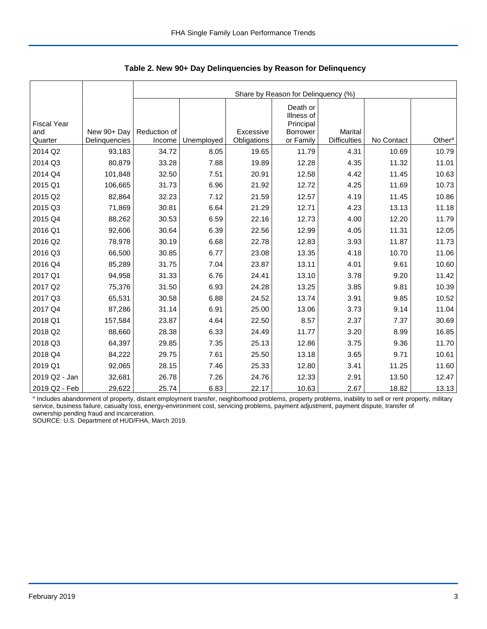|                                      |                              |                        | Share by Reason for Delinquency (%) |                          |                                                                     |                                       |            |                    |  |  |  |  |
|--------------------------------------|------------------------------|------------------------|-------------------------------------|--------------------------|---------------------------------------------------------------------|---------------------------------------|------------|--------------------|--|--|--|--|
| <b>Fiscal Year</b><br>and<br>Quarter | New 90+ Day<br>Delinquencies | Reduction of<br>Income | Unemployed                          | Excessive<br>Obligations | Death or<br>Illness of<br>Principal<br><b>Borrower</b><br>or Family | <b>Marital</b><br><b>Difficulties</b> | No Contact | Other <sup>a</sup> |  |  |  |  |
| 2014 Q2                              | 93,183                       | 34.72                  | 8.05                                | 19.65                    | 11.79                                                               | 4.31                                  | 10.69      | 10.79              |  |  |  |  |
| 2014 Q3                              | 80,879                       | 33.28                  | 7.88                                | 19.89                    | 12.28                                                               | 4.35                                  | 11.32      | 11.01              |  |  |  |  |
|                                      |                              |                        |                                     |                          |                                                                     |                                       |            |                    |  |  |  |  |
| 2014 Q4                              | 101,848                      | 32.50                  | 7.51                                | 20.91                    | 12.58                                                               | 4.42                                  | 11.45      | 10.63              |  |  |  |  |
| 2015 Q1                              | 106,665                      | 31.73                  | 6.96                                | 21.92                    | 12.72                                                               | 4.25                                  | 11.69      | 10.73              |  |  |  |  |
| 2015 Q2                              | 82,864                       | 32.23                  | 7.12                                | 21.59                    | 12.57                                                               | 4.19                                  | 11.45      | 10.86              |  |  |  |  |
| 2015 Q3                              | 71,869                       | 30.81                  | 6.64                                | 21.29                    | 12.71                                                               | 4.23                                  | 13.13      | 11.18              |  |  |  |  |
| 2015 Q4                              | 88,262                       | 30.53                  | 6.59                                | 22.16                    | 12.73                                                               | 4.00                                  | 12.20      | 11.79              |  |  |  |  |
| 2016 Q1                              | 92,606                       | 30.64                  | 6.39                                | 22.56                    | 12.99                                                               | 4.05                                  | 11.31      | 12.05              |  |  |  |  |
| 2016 Q2                              | 78,978                       | 30.19                  | 6.68                                | 22.78                    | 12.83                                                               | 3.93                                  | 11.87      | 11.73              |  |  |  |  |
| 2016 Q3                              | 66,500                       | 30.85                  | 6.77                                | 23.08                    | 13.35                                                               | 4.18                                  | 10.70      | 11.06              |  |  |  |  |
| 2016 Q4                              | 85,289                       | 31.75                  | 7.04                                | 23.87                    | 13.11                                                               | 4.01                                  | 9.61       | 10.60              |  |  |  |  |
| 2017 Q1                              | 94,958                       | 31.33                  | 6.76                                | 24.41                    | 13.10                                                               | 3.78                                  | 9.20       | 11.42              |  |  |  |  |
| 2017 Q2                              | 75,376                       | 31.50                  | 6.93                                | 24.28                    | 13.25                                                               | 3.85                                  | 9.81       | 10.39              |  |  |  |  |
| 2017 Q3                              | 65,531                       | 30.58                  | 6.88                                | 24.52                    | 13.74                                                               | 3.91                                  | 9.85       | 10.52              |  |  |  |  |
| 2017 Q4                              | 87,286                       | 31.14                  | 6.91                                | 25.00                    | 13.06                                                               | 3.73                                  | 9.14       | 11.04              |  |  |  |  |
| 2018 Q1                              | 157,584                      | 23.87                  | 4.64                                | 22.50                    | 8.57                                                                | 2.37                                  | 7.37       | 30.69              |  |  |  |  |
| 2018 Q2                              | 88,660                       | 28.38                  | 6.33                                | 24.49                    | 11.77                                                               | 3.20                                  | 8.99       | 16.85              |  |  |  |  |
| 2018 Q3                              | 64,397                       | 29.85                  | 7.35                                | 25.13                    | 12.86                                                               | 3.75                                  | 9.36       | 11.70              |  |  |  |  |
| 2018 Q4                              | 84,222                       | 29.75                  | 7.61                                | 25.50                    | 13.18                                                               | 3.65                                  | 9.71       | 10.61              |  |  |  |  |
| 2019 Q1                              | 92,065                       | 28.15                  | 7.46                                | 25.33                    | 12.80                                                               | 3.41                                  | 11.25      | 11.60              |  |  |  |  |
| 2019 Q2 - Jan                        | 32,681                       | 26.78                  | 7.26                                | 24.76                    | 12.33                                                               | 2.91                                  | 13.50      | 12.47              |  |  |  |  |
| 2019 Q2 - Feb                        | 29,622                       | 25.74                  | 6.83                                | 22.17                    | 10.63                                                               | 2.67                                  | 18.82      | 13.13              |  |  |  |  |

 **Table 2. New 90+ Day Delinquencies by Reason for Delinquency**

a Includes abandonment of property, distant employment transfer, neighborhood problems, property problems, inability to sell or rent property, military service, business failure, casualty loss, energy-environment cost, servicing problems, payment adjustment, payment dispute, transfer of ownership pending fraud and incarceration.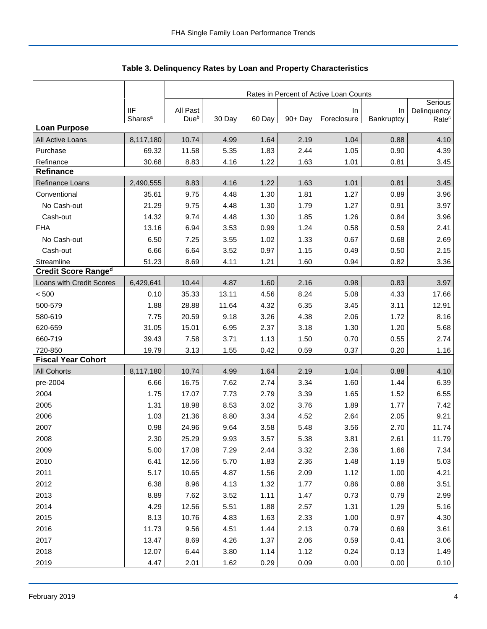|                            |                                   | Rates in Percent of Active Loan Counts |        |        |         |                   |                  |                                  |  |
|----------------------------|-----------------------------------|----------------------------------------|--------|--------|---------|-------------------|------------------|----------------------------------|--|
|                            |                                   |                                        |        |        |         |                   |                  | Serious                          |  |
|                            | <b>IIF</b><br>Shares <sup>a</sup> | All Past<br>Due <sup>b</sup>           | 30 Day | 60 Day | 90+ Day | In<br>Foreclosure | In<br>Bankruptcy | Delinquency<br>Rate <sup>c</sup> |  |
| <b>Loan Purpose</b>        |                                   |                                        |        |        |         |                   |                  |                                  |  |
| All Active Loans           | 8,117,180                         | 10.74                                  | 4.99   | 1.64   | 2.19    | 1.04              | 0.88             | 4.10                             |  |
| Purchase                   | 69.32                             | 11.58                                  | 5.35   | 1.83   | 2.44    | 1.05              | 0.90             | 4.39                             |  |
| Refinance                  | 30.68                             | 8.83                                   | 4.16   | 1.22   | 1.63    | 1.01              | 0.81             | 3.45                             |  |
| <b>Refinance</b>           |                                   |                                        |        |        |         |                   |                  |                                  |  |
| Refinance Loans            | 2,490,555                         | 8.83                                   | 4.16   | 1.22   | 1.63    | 1.01              | 0.81             | 3.45                             |  |
| Conventional               | 35.61                             | 9.75                                   | 4.48   | 1.30   | 1.81    | 1.27              | 0.89             | 3.96                             |  |
| No Cash-out                | 21.29                             | 9.75                                   | 4.48   | 1.30   | 1.79    | 1.27              | 0.91             | 3.97                             |  |
| Cash-out                   | 14.32                             | 9.74                                   | 4.48   | 1.30   | 1.85    | 1.26              | 0.84             | 3.96                             |  |
| <b>FHA</b>                 | 13.16                             | 6.94                                   | 3.53   | 0.99   | 1.24    | 0.58              | 0.59             | 2.41                             |  |
| No Cash-out                | 6.50                              | 7.25                                   | 3.55   | 1.02   | 1.33    | 0.67              | 0.68             | 2.69                             |  |
| Cash-out                   | 6.66                              | 6.64                                   | 3.52   | 0.97   | 1.15    | 0.49              | 0.50             | 2.15                             |  |
| Streamline                 | 51.23                             | 8.69                                   | 4.11   | 1.21   | 1.60    | 0.94              | 0.82             | 3.36                             |  |
| <b>Credit Score Ranged</b> |                                   |                                        |        |        |         |                   |                  |                                  |  |
| Loans with Credit Scores   | 6,429,641                         | 10.44                                  | 4.87   | 1.60   | 2.16    | 0.98              | 0.83             | 3.97                             |  |
| < 500                      | 0.10                              | 35.33                                  | 13.11  | 4.56   | 8.24    | 5.08              | 4.33             | 17.66                            |  |
| 500-579                    | 1.88                              | 28.88                                  | 11.64  | 4.32   | 6.35    | 3.45              | 3.11             | 12.91                            |  |
| 580-619                    | 7.75                              | 20.59                                  | 9.18   | 3.26   | 4.38    | 2.06              | 1.72             | 8.16                             |  |
| 620-659                    | 31.05                             | 15.01                                  | 6.95   | 2.37   | 3.18    | 1.30              | 1.20             | 5.68                             |  |
| 660-719                    | 39.43                             | 7.58                                   | 3.71   | 1.13   | 1.50    | 0.70              | 0.55             | 2.74                             |  |
| 720-850                    | 19.79                             | 3.13                                   | 1.55   | 0.42   | 0.59    | 0.37              | 0.20             | 1.16                             |  |
| <b>Fiscal Year Cohort</b>  |                                   |                                        |        |        |         |                   |                  |                                  |  |
| <b>All Cohorts</b>         | 8,117,180                         | 10.74                                  | 4.99   | 1.64   | 2.19    | 1.04              | 0.88             | 4.10                             |  |
| pre-2004                   | 6.66                              | 16.75                                  | 7.62   | 2.74   | 3.34    | 1.60              | 1.44             | 6.39                             |  |
| 2004                       | 1.75                              | 17.07                                  | 7.73   | 2.79   | 3.39    | 1.65              | 1.52             | 6.55                             |  |
| 2005                       | 1.31                              | 18.98                                  | 8.53   | 3.02   | 3.76    | 1.89              | 1.77             | 7.42                             |  |
| 2006                       | 1.03                              | 21.36                                  | 8.80   | 3.34   | 4.52    | 2.64              | 2.05             | 9.21                             |  |
| 2007                       | 0.98                              | 24.96                                  | 9.64   | 3.58   | 5.48    | 3.56              | 2.70             | 11.74                            |  |
| 2008                       | 2.30                              | 25.29                                  | 9.93   | 3.57   | 5.38    | 3.81              | 2.61             | 11.79                            |  |
| 2009                       | 5.00                              | 17.08                                  | 7.29   | 2.44   | 3.32    | 2.36              | 1.66             | 7.34                             |  |
| 2010                       | 6.41                              | 12.56                                  | 5.70   | 1.83   | 2.36    | 1.48              | 1.19             | 5.03                             |  |
| 2011                       | 5.17                              | 10.65                                  | 4.87   | 1.56   | 2.09    | 1.12              | 1.00             | 4.21                             |  |
| 2012                       | 6.38                              | 8.96                                   | 4.13   | 1.32   | 1.77    | 0.86              | 0.88             | 3.51                             |  |
| 2013                       | 8.89                              | 7.62                                   | 3.52   | 1.11   | 1.47    | 0.73              | 0.79             | 2.99                             |  |
| 2014                       | 4.29                              | 12.56                                  | 5.51   | 1.88   | 2.57    | 1.31              | 1.29             | 5.16                             |  |
| 2015                       | 8.13                              | 10.76                                  | 4.83   | 1.63   | 2.33    | 1.00              | 0.97             | 4.30                             |  |
| 2016                       | 11.73                             | 9.56                                   | 4.51   | 1.44   | 2.13    | 0.79              | 0.69             | 3.61                             |  |
| 2017                       | 13.47                             | 8.69                                   | 4.26   | 1.37   | 2.06    | 0.59              | 0.41             | 3.06                             |  |
| 2018                       | 12.07                             | 6.44                                   | 3.80   | 1.14   | 1.12    | 0.24              | 0.13             | 1.49                             |  |
| 2019                       | 4.47                              | 2.01                                   | 1.62   | 0.29   | 0.09    | 0.00              | 0.00             | 0.10                             |  |

Table 3. Delinquency Rates by Loan and Property Characteristics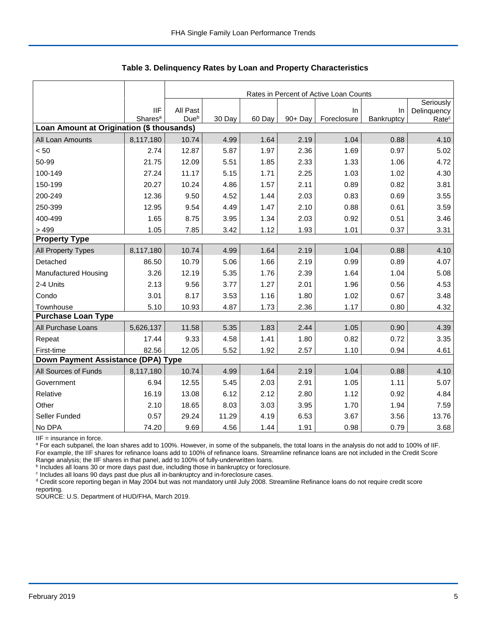|                                           |                     |                  |        |        |         | Rates in Percent of Active Loan Counts |            |                          |
|-------------------------------------------|---------------------|------------------|--------|--------|---------|----------------------------------------|------------|--------------------------|
|                                           | <b>IIF</b>          | All Past         |        |        |         | In                                     | $\ln$      | Seriously<br>Delinquency |
|                                           | Shares <sup>a</sup> | Due <sup>b</sup> | 30 Day | 60 Day | 90+ Day | Foreclosure                            | Bankruptcy | Rate <sup>c</sup>        |
| Loan Amount at Origination (\$ thousands) |                     |                  |        |        |         |                                        |            |                          |
| All Loan Amounts                          | 8,117,180           | 10.74            | 4.99   | 1.64   | 2.19    | 1.04                                   | 0.88       | 4.10                     |
| < 50                                      | 2.74                | 12.87            | 5.87   | 1.97   | 2.36    | 1.69                                   | 0.97       | 5.02                     |
| 50-99                                     | 21.75               | 12.09            | 5.51   | 1.85   | 2.33    | 1.33                                   | 1.06       | 4.72                     |
| 100-149                                   | 27.24               | 11.17            | 5.15   | 1.71   | 2.25    | 1.03                                   | 1.02       | 4.30                     |
| 150-199                                   | 20.27               | 10.24            | 4.86   | 1.57   | 2.11    | 0.89                                   | 0.82       | 3.81                     |
| 200-249                                   | 12.36               | 9.50             | 4.52   | 1.44   | 2.03    | 0.83                                   | 0.69       | 3.55                     |
| 250-399                                   | 12.95               | 9.54             | 4.49   | 1.47   | 2.10    | 0.88                                   | 0.61       | 3.59                     |
| 400-499                                   | 1.65                | 8.75             | 3.95   | 1.34   | 2.03    | 0.92                                   | 0.51       | 3.46                     |
| > 499                                     | 1.05                | 7.85             | 3.42   | 1.12   | 1.93    | 1.01                                   | 0.37       | 3.31                     |
| <b>Property Type</b>                      |                     |                  |        |        |         |                                        |            |                          |
| All Property Types                        | 8,117,180           | 10.74            | 4.99   | 1.64   | 2.19    | 1.04                                   | 0.88       | 4.10                     |
| Detached                                  | 86.50               | 10.79            | 5.06   | 1.66   | 2.19    | 0.99                                   | 0.89       | 4.07                     |
| Manufactured Housing                      | 3.26                | 12.19            | 5.35   | 1.76   | 2.39    | 1.64                                   | 1.04       | 5.08                     |
| 2-4 Units                                 | 2.13                | 9.56             | 3.77   | 1.27   | 2.01    | 1.96                                   | 0.56       | 4.53                     |
| Condo                                     | 3.01                | 8.17             | 3.53   | 1.16   | 1.80    | 1.02                                   | 0.67       | 3.48                     |
| Townhouse                                 | 5.10                | 10.93            | 4.87   | 1.73   | 2.36    | 1.17                                   | 0.80       | 4.32                     |
| <b>Purchase Loan Type</b>                 |                     |                  |        |        |         |                                        |            |                          |
| All Purchase Loans                        | 5,626,137           | 11.58            | 5.35   | 1.83   | 2.44    | 1.05                                   | 0.90       | 4.39                     |
| Repeat                                    | 17.44               | 9.33             | 4.58   | 1.41   | 1.80    | 0.82                                   | 0.72       | 3.35                     |
| First-time                                | 82.56               | 12.05            | 5.52   | 1.92   | 2.57    | 1.10                                   | 0.94       | 4.61                     |
| Down Payment Assistance (DPA) Type        |                     |                  |        |        |         |                                        |            |                          |
| All Sources of Funds                      | 8,117,180           | 10.74            | 4.99   | 1.64   | 2.19    | 1.04                                   | 0.88       | 4.10                     |
| Government                                | 6.94                | 12.55            | 5.45   | 2.03   | 2.91    | 1.05                                   | 1.11       | 5.07                     |
| Relative                                  | 16.19               | 13.08            | 6.12   | 2.12   | 2.80    | 1.12                                   | 0.92       | 4.84                     |
| Other                                     | 2.10                | 18.65            | 8.03   | 3.03   | 3.95    | 1.70                                   | 1.94       | 7.59                     |
| Seller Funded                             | 0.57                | 29.24            | 11.29  | 4.19   | 6.53    | 3.67                                   | 3.56       | 13.76                    |
| No DPA                                    | 74.20               | 9.69             | 4.56   | 1.44   | 1.91    | 0.98                                   | 0.79       | 3.68                     |

 **Table 3. Delinquency Rates by Loan and Property Characteristics**

IIF = insurance in force.

<sup>a</sup> For each subpanel, the loan shares add to 100%. However, in some of the subpanels, the total loans in the analysis do not add to 100% of IIF. For example, the IIF shares for refinance loans add to 100% of refinance loans. Streamline refinance loans are not included in the Credit Score

Range analysis; the IIF shares in that panel, add to 100% of fully-underwritten loans.<br><sup>b</sup> Includes all loans 30 or more days past due, including those in bankruptcy or foreclosure.

<sup>c</sup> Includes all loans 90 days past due plus all in-bankruptcy and in-foreclosure cases.

<sup>d</sup> Credit score reporting began in May 2004 but was not mandatory until July 2008. Streamline Refinance loans do not require credit score reporting.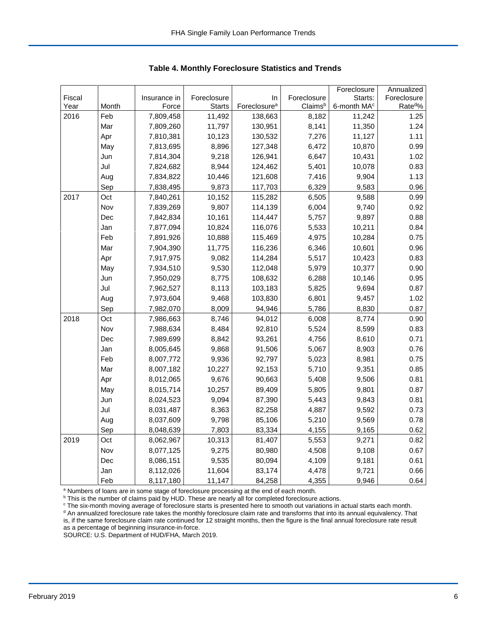| Fiscal<br>Foreclosure<br>Foreclosure<br>Starts:<br>Foreclosure<br>Insurance in<br>In<br>Rate <sup>d</sup> %<br>Foreclosure <sup>a</sup><br>Year<br>Month<br>Force<br><b>Starts</b><br>Claimsb<br>6-month MA <sup>c</sup><br>1.25<br>2016<br>Feb<br>7,809,458<br>11,492<br>138,663<br>8,182<br>11,242<br>Mar<br>11,797<br>130,951<br>8,141<br>1.24<br>7,809,260<br>11,350<br>Apr<br>7,810,381<br>10,123<br>130,532<br>7,276<br>11,127<br>1.11<br>8,896<br>127,348<br>0.99<br>May<br>7,813,695<br>6,472<br>10,870<br>9,218<br>126,941<br>1.02<br>Jun<br>7,814,304<br>6,647<br>10,431<br>Jul<br>7,824,682<br>8,944<br>124,462<br>5,401<br>10,078<br>0.83<br>10,446<br>1.13<br>Aug<br>7,834,822<br>121,608<br>7,416<br>9,904<br>9,873<br>6,329<br>Sep<br>7,838,495<br>117,703<br>9,583<br>0.96 |  |  |  | Foreclosure | Annualized |
|--------------------------------------------------------------------------------------------------------------------------------------------------------------------------------------------------------------------------------------------------------------------------------------------------------------------------------------------------------------------------------------------------------------------------------------------------------------------------------------------------------------------------------------------------------------------------------------------------------------------------------------------------------------------------------------------------------------------------------------------------------------------------------------------|--|--|--|-------------|------------|
|                                                                                                                                                                                                                                                                                                                                                                                                                                                                                                                                                                                                                                                                                                                                                                                            |  |  |  |             |            |
|                                                                                                                                                                                                                                                                                                                                                                                                                                                                                                                                                                                                                                                                                                                                                                                            |  |  |  |             |            |
|                                                                                                                                                                                                                                                                                                                                                                                                                                                                                                                                                                                                                                                                                                                                                                                            |  |  |  |             |            |
|                                                                                                                                                                                                                                                                                                                                                                                                                                                                                                                                                                                                                                                                                                                                                                                            |  |  |  |             |            |
|                                                                                                                                                                                                                                                                                                                                                                                                                                                                                                                                                                                                                                                                                                                                                                                            |  |  |  |             |            |
|                                                                                                                                                                                                                                                                                                                                                                                                                                                                                                                                                                                                                                                                                                                                                                                            |  |  |  |             |            |
|                                                                                                                                                                                                                                                                                                                                                                                                                                                                                                                                                                                                                                                                                                                                                                                            |  |  |  |             |            |
|                                                                                                                                                                                                                                                                                                                                                                                                                                                                                                                                                                                                                                                                                                                                                                                            |  |  |  |             |            |
|                                                                                                                                                                                                                                                                                                                                                                                                                                                                                                                                                                                                                                                                                                                                                                                            |  |  |  |             |            |
|                                                                                                                                                                                                                                                                                                                                                                                                                                                                                                                                                                                                                                                                                                                                                                                            |  |  |  |             |            |
| 6,505<br>2017<br>Oct<br>10,152<br>115,282<br>9,588<br>0.99<br>7,840,261                                                                                                                                                                                                                                                                                                                                                                                                                                                                                                                                                                                                                                                                                                                    |  |  |  |             |            |
| Nov<br>9,807<br>6,004<br>9,740<br>0.92<br>7,839,269<br>114,139                                                                                                                                                                                                                                                                                                                                                                                                                                                                                                                                                                                                                                                                                                                             |  |  |  |             |            |
| 10,161<br>114,447<br>5,757<br>9,897<br>0.88<br>Dec<br>7,842,834                                                                                                                                                                                                                                                                                                                                                                                                                                                                                                                                                                                                                                                                                                                            |  |  |  |             |            |
| 7,877,094<br>10,824<br>116,076<br>5,533<br>10,211<br>0.84<br>Jan                                                                                                                                                                                                                                                                                                                                                                                                                                                                                                                                                                                                                                                                                                                           |  |  |  |             |            |
| Feb<br>10,888<br>115,469<br>4,975<br>0.75<br>7,891,926<br>10,284                                                                                                                                                                                                                                                                                                                                                                                                                                                                                                                                                                                                                                                                                                                           |  |  |  |             |            |
| Mar<br>7,904,390<br>11,775<br>116,236<br>6,346<br>10,601<br>0.96                                                                                                                                                                                                                                                                                                                                                                                                                                                                                                                                                                                                                                                                                                                           |  |  |  |             |            |
| 9,082<br>114,284<br>5,517<br>0.83<br>Apr<br>7,917,975<br>10,423                                                                                                                                                                                                                                                                                                                                                                                                                                                                                                                                                                                                                                                                                                                            |  |  |  |             |            |
| May<br>7,934,510<br>9,530<br>112,048<br>5,979<br>10,377<br>0.90                                                                                                                                                                                                                                                                                                                                                                                                                                                                                                                                                                                                                                                                                                                            |  |  |  |             |            |
| 7,950,029<br>8,775<br>108,632<br>6,288<br>0.95<br>Jun<br>10,146                                                                                                                                                                                                                                                                                                                                                                                                                                                                                                                                                                                                                                                                                                                            |  |  |  |             |            |
| Jul<br>7,962,527<br>8,113<br>103,183<br>5,825<br>9,694<br>0.87                                                                                                                                                                                                                                                                                                                                                                                                                                                                                                                                                                                                                                                                                                                             |  |  |  |             |            |
| 7,973,604<br>9,468<br>103,830<br>6,801<br>9,457<br>1.02<br>Aug                                                                                                                                                                                                                                                                                                                                                                                                                                                                                                                                                                                                                                                                                                                             |  |  |  |             |            |
| 8,009<br>Sep<br>7,982,070<br>94,946<br>5,786<br>8,830<br>0.87                                                                                                                                                                                                                                                                                                                                                                                                                                                                                                                                                                                                                                                                                                                              |  |  |  |             |            |
| 2018<br>Oct<br>8,746<br>94,012<br>6,008<br>8,774<br>0.90<br>7,986,663                                                                                                                                                                                                                                                                                                                                                                                                                                                                                                                                                                                                                                                                                                                      |  |  |  |             |            |
| Nov<br>5,524<br>0.83<br>7,988,634<br>8,484<br>92,810<br>8,599                                                                                                                                                                                                                                                                                                                                                                                                                                                                                                                                                                                                                                                                                                                              |  |  |  |             |            |
| 0.71<br>Dec<br>7,989,699<br>8,842<br>93,261<br>4,756<br>8,610                                                                                                                                                                                                                                                                                                                                                                                                                                                                                                                                                                                                                                                                                                                              |  |  |  |             |            |
| 9,868<br>91,506<br>5,067<br>8,903<br>0.76<br>Jan<br>8,005,645                                                                                                                                                                                                                                                                                                                                                                                                                                                                                                                                                                                                                                                                                                                              |  |  |  |             |            |
| Feb<br>8,007,772<br>9,936<br>92,797<br>5,023<br>8,981<br>0.75                                                                                                                                                                                                                                                                                                                                                                                                                                                                                                                                                                                                                                                                                                                              |  |  |  |             |            |
| Mar<br>8,007,182<br>10,227<br>92,153<br>5,710<br>9,351<br>0.85                                                                                                                                                                                                                                                                                                                                                                                                                                                                                                                                                                                                                                                                                                                             |  |  |  |             |            |
| 9,676<br>5,408<br>Apr<br>8,012,065<br>90,663<br>9,506<br>0.81                                                                                                                                                                                                                                                                                                                                                                                                                                                                                                                                                                                                                                                                                                                              |  |  |  |             |            |
| 10,257<br>89,409<br>May<br>8,015,714<br>5,805<br>9,801<br>0.87                                                                                                                                                                                                                                                                                                                                                                                                                                                                                                                                                                                                                                                                                                                             |  |  |  |             |            |
| 9,094<br>87,390<br>9,843<br>Jun<br>8,024,523<br>5,443<br>0.81                                                                                                                                                                                                                                                                                                                                                                                                                                                                                                                                                                                                                                                                                                                              |  |  |  |             |            |
| Jul<br>8,363<br>82,258<br>4,887<br>9,592<br>0.73<br>8,031,487                                                                                                                                                                                                                                                                                                                                                                                                                                                                                                                                                                                                                                                                                                                              |  |  |  |             |            |
| Aug<br>9,798<br>85,106<br>5,210<br>9,569<br>0.78<br>8,037,609                                                                                                                                                                                                                                                                                                                                                                                                                                                                                                                                                                                                                                                                                                                              |  |  |  |             |            |
| 83,334<br>4,155<br>Sep<br>8,048,639<br>7,803<br>9,165<br>0.62                                                                                                                                                                                                                                                                                                                                                                                                                                                                                                                                                                                                                                                                                                                              |  |  |  |             |            |
| 2019<br>10,313<br>81,407<br>5,553<br>9,271<br>0.82<br>Oct<br>8,062,967                                                                                                                                                                                                                                                                                                                                                                                                                                                                                                                                                                                                                                                                                                                     |  |  |  |             |            |
| Nov<br>8,077,125<br>9,275<br>80,980<br>4,508<br>9,108<br>0.67                                                                                                                                                                                                                                                                                                                                                                                                                                                                                                                                                                                                                                                                                                                              |  |  |  |             |            |
| 9,535<br>80,094<br>0.61<br>Dec<br>8,086,151<br>4,109<br>9,181                                                                                                                                                                                                                                                                                                                                                                                                                                                                                                                                                                                                                                                                                                                              |  |  |  |             |            |
| 11,604<br>0.66<br>Jan<br>8,112,026<br>83,174<br>4,478<br>9,721                                                                                                                                                                                                                                                                                                                                                                                                                                                                                                                                                                                                                                                                                                                             |  |  |  |             |            |
| 84,258<br>4,355<br>Feb<br>8,117,180<br>11,147<br>9,946                                                                                                                                                                                                                                                                                                                                                                                                                                                                                                                                                                                                                                                                                                                                     |  |  |  |             | 0.64       |

 **Table 4. Monthly Foreclosure Statistics and Trends**

<sup>a</sup> Numbers of loans are in some stage of foreclosure processing at the end of each month.

<sup>b</sup> This is the number of claims paid by HUD. These are nearly all for completed foreclosure actions.

° The six-month moving average of foreclosure starts is presented here to smooth out variations in actual starts each month.<br><sup>d</sup> An annualized foreclosure rate takes the monthly foreclosure claim rate and transforms that i is, if the same foreclosure claim rate continued for 12 straight months, then the figure is the final annual foreclosure rate result as a percentage of beginning insurance-in-force.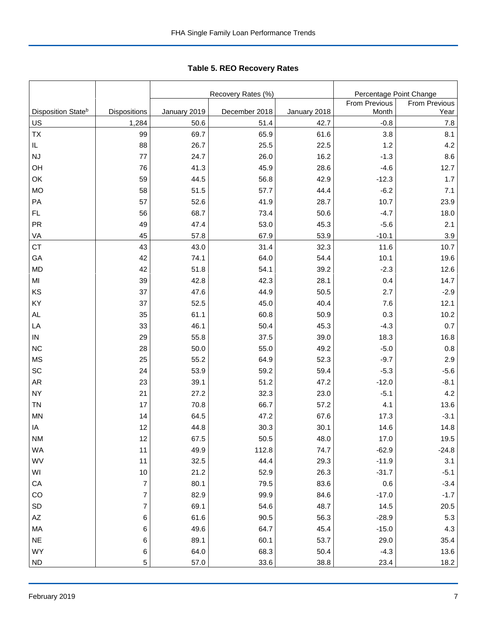Tabl e 5. REO R ecover y R ates **Table 5. REO Recovery Rates**

|                                |                         |              | Recovery Rates (%) |              | Percentage Point Change |               |  |
|--------------------------------|-------------------------|--------------|--------------------|--------------|-------------------------|---------------|--|
|                                |                         |              |                    |              | From Previous           | From Previous |  |
| Disposition State <sup>b</sup> | Dispositions            | January 2019 | December 2018      | January 2018 | Month                   | Year          |  |
| US                             | 1,284                   | 50.6         | 51.4               | 42.7         | $-0.8$                  | $7.8\,$       |  |
| <b>TX</b>                      | 99                      | 69.7         | 65.9               | 61.6         | 3.8                     | 8.1           |  |
| IL                             | 88                      | 26.7         | 25.5               | 22.5         | 1.2                     | 4.2           |  |
| <b>NJ</b>                      | 77                      | 24.7         | 26.0               | 16.2         | $-1.3$                  | 8.6           |  |
| OH                             | 76                      | 41.3         | 45.9               | 28.6         | $-4.6$                  | 12.7          |  |
| OK                             | 59                      | 44.5         | 56.8               | 42.9         | $-12.3$                 | 1.7           |  |
| <b>MO</b>                      | 58                      | 51.5         | 57.7               | 44.4         | $-6.2$                  | 7.1           |  |
| PA                             | 57                      | 52.6         | 41.9               | 28.7         | 10.7                    | 23.9          |  |
| FL                             | 56                      | 68.7         | 73.4               | 50.6         | $-4.7$                  | 18.0          |  |
| PR                             | 49                      | 47.4         | 53.0               | 45.3         | $-5.6$                  | 2.1           |  |
| VA                             | 45                      | 57.8         | 67.9               | 53.9         | $-10.1$                 | 3.9           |  |
| <b>CT</b>                      | 43                      | 43.0         | 31.4               | 32.3         | 11.6                    | 10.7          |  |
| GA                             | 42                      | 74.1         | 64.0               | 54.4         | 10.1                    | 19.6          |  |
| <b>MD</b>                      | 42                      | 51.8         | 54.1               | 39.2         | $-2.3$                  | 12.6          |  |
| MI                             | 39                      | 42.8         | 42.3               | 28.1         | 0.4                     | 14.7          |  |
| KS                             | 37                      | 47.6         | 44.9               | 50.5         | 2.7                     | $-2.9$        |  |
| KY                             | 37                      | 52.5         | 45.0               | 40.4         | 7.6                     | 12.1          |  |
| AL                             | 35                      | 61.1         | 60.8               | 50.9         | 0.3                     | 10.2          |  |
| LA                             | 33                      | 46.1         | 50.4               | 45.3         | $-4.3$                  | 0.7           |  |
| IN                             | 29                      | 55.8         | 37.5               | 39.0         | 18.3                    | 16.8          |  |
| <b>NC</b>                      | 28                      | 50.0         | 55.0               | 49.2         | $-5.0$                  | $0.8\,$       |  |
| <b>MS</b>                      | 25                      | 55.2         | 64.9               | 52.3         | $-9.7$                  | 2.9           |  |
| SC                             | 24                      | 53.9         | 59.2               | 59.4         | $-5.3$                  | $-5.6$        |  |
| <b>AR</b>                      | 23                      | 39.1         | 51.2               | 47.2         | $-12.0$                 | $-8.1$        |  |
| <b>NY</b>                      | 21                      | 27.2         | 32.3               | 23.0         | $-5.1$                  | 4.2           |  |
| <b>TN</b>                      | 17                      | 70.8         | 66.7               | 57.2         | 4.1                     | 13.6          |  |
| <b>MN</b>                      | 14                      | 64.5         | 47.2               | 67.6         | 17.3                    | $-3.1$        |  |
| IA                             | 12                      | 44.8         | 30.3               | 30.1         | 14.6                    | 14.8          |  |
| NM.                            | 12                      | 67.5         | 50.5               | 48.0         | 17.0                    | 19.5          |  |
| WA                             | 11                      | 49.9         | 112.8              | 74.7         | $-62.9$                 | $-24.8$       |  |
| WV                             | 11                      | 32.5         | 44.4               | 29.3         | $-11.9$                 | 3.1           |  |
| WI                             | $10$                    | 21.2         | 52.9               | 26.3         | $-31.7$                 | $-5.1$        |  |
| CA                             | $\boldsymbol{7}$        | 80.1         | 79.5               | 83.6         | 0.6                     | $-3.4$        |  |
| CO                             | $\boldsymbol{7}$        | 82.9         | 99.9               | 84.6         | $-17.0$                 | $-1.7$        |  |
| SD                             | $\overline{\mathbf{7}}$ | 69.1         | 54.6               | 48.7         | 14.5                    | 20.5          |  |
| $\mathsf{A}\mathsf{Z}$         | 6                       | 61.6         | 90.5               | 56.3         | $-28.9$                 | $5.3\,$       |  |
| MA                             | 6                       | 49.6         | 64.7               | 45.4         | $-15.0$                 | 4.3           |  |
| <b>NE</b>                      | 6                       | 89.1         | 60.1               | 53.7         | 29.0                    | 35.4          |  |
| WY                             | 6                       | 64.0         | 68.3               | 50.4         | $-4.3$                  | 13.6          |  |
| <b>ND</b>                      | $\mathbf 5$             | 57.0         | 33.6               | 38.8         | 23.4                    | 18.2          |  |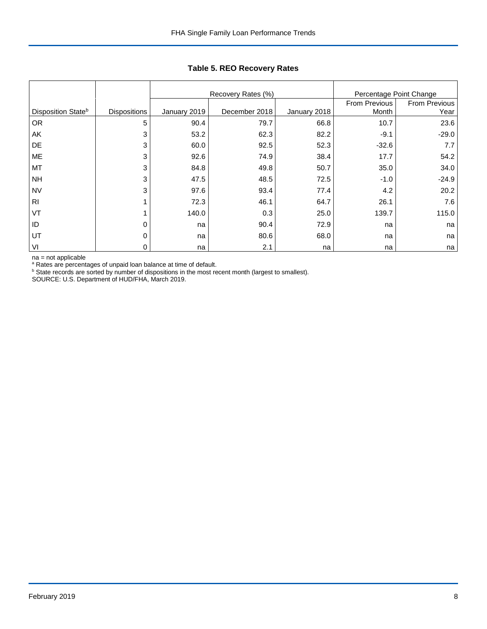|                                |                     |              | Recovery Rates (%) | Percentage Point Change |               |               |  |
|--------------------------------|---------------------|--------------|--------------------|-------------------------|---------------|---------------|--|
|                                |                     |              |                    |                         | From Previous | From Previous |  |
| Disposition State <sup>b</sup> | <b>Dispositions</b> | January 2019 | December 2018      | January 2018            | Month         | Year          |  |
| <b>OR</b>                      | 5                   | 90.4         | 79.7               | 66.8                    | 10.7          | 23.6          |  |
| AK                             | 3                   | 53.2         | 62.3               | 82.2                    | $-9.1$        | $-29.0$       |  |
| DE                             | 3                   | 60.0         | 92.5               | 52.3                    | $-32.6$       | 7.7           |  |
| ME                             | 3                   | 92.6         | 74.9               | 38.4                    | 17.7          | 54.2          |  |
| MT                             | 3                   | 84.8         | 49.8               | 50.7                    | 35.0          | 34.0          |  |
| <b>NH</b>                      | 3                   | 47.5         | 48.5               | 72.5                    | $-1.0$        | $-24.9$       |  |
| <b>NV</b>                      | 3                   | 97.6         | 93.4               | 77.4                    | 4.2           | 20.2          |  |
| R <sub>l</sub>                 |                     | 72.3         | 46.1               | 64.7                    | 26.1          | 7.6           |  |
| VT                             |                     | 140.0        | 0.3                | 25.0                    | 139.7         | 115.0         |  |
| ID                             | 0                   | na           | 90.4               | 72.9                    | na            | na            |  |
| UT                             | 0                   | na           | 80.6               | 68.0                    | na            | na            |  |
| VI                             | 0                   | na           | 2.1                | na                      | na            | na            |  |

## **Table 5. REO Recovery Rates**

na = not applicable

<sup>a</sup> Rates are percentages of unpaid loan balance at time of default.<br><sup>b</sup> State records are sorted by number of dispositions in the most recent month (largest to smallest).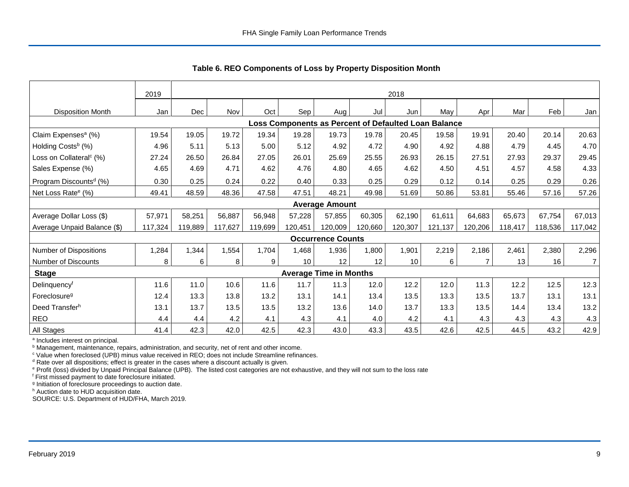|                                     | 2019    |         |         |         |         |                               |         | 2018                                                 |         |         |         |         |                |
|-------------------------------------|---------|---------|---------|---------|---------|-------------------------------|---------|------------------------------------------------------|---------|---------|---------|---------|----------------|
| <b>Disposition Month</b>            | Jan     | Dec     | Nov     | Oct     | Sep     | Aug                           | Jul     | Jun                                                  | May     | Apr     | Mar     | Feb     | Jan            |
|                                     |         |         |         |         |         |                               |         | Loss Components as Percent of Defaulted Loan Balance |         |         |         |         |                |
| Claim Expenses <sup>a</sup> (%)     | 19.54   | 19.05   | 19.72   | 19.34   | 19.28   | 19.73                         | 19.78   | 20.45                                                | 19.58   | 19.91   | 20.40   | 20.14   | 20.63          |
| Holding Costs <sup>b</sup> (%)      | 4.96    | 5.11    | 5.13    | 5.00    | 5.12    | 4.92                          | 4.72    | 4.90                                                 | 4.92    | 4.88    | 4.79    | 4.45    | 4.70           |
| Loss on Collateral <sup>c</sup> (%) | 27.24   | 26.50   | 26.84   | 27.05   | 26.01   | 25.69                         | 25.55   | 26.93                                                | 26.15   | 27.51   | 27.93   | 29.37   | 29.45          |
| Sales Expense (%)                   | 4.65    | 4.69    | 4.71    | 4.62    | 4.76    | 4.80                          | 4.65    | 4.62                                                 | 4.50    | 4.51    | 4.57    | 4.58    | 4.33           |
| Program Discounts <sup>d</sup> (%)  | 0.30    | 0.25    | 0.24    | 0.22    | 0.40    | 0.33                          | 0.25    | 0.29                                                 | 0.12    | 0.14    | 0.25    | 0.29    | 0.26           |
| Net Loss Rate <sup>e</sup> (%)      | 49.41   | 48.59   | 48.36   | 47.58   | 47.51   | 48.21                         | 49.98   | 51.69                                                | 50.86   | 53.81   | 55.46   | 57.16   | 57.26          |
|                                     |         |         |         |         |         | <b>Average Amount</b>         |         |                                                      |         |         |         |         |                |
| Average Dollar Loss (\$)            | 57,971  | 58,251  | 56,887  | 56,948  | 57,228  | 57,855                        | 60,305  | 62,190                                               | 61,611  | 64,683  | 65,673  | 67,754  | 67,013         |
| Average Unpaid Balance (\$)         | 117,324 | 119,889 | 117,627 | 119,699 | 120,451 | 120,009                       | 120.660 | 120,307                                              | 121,137 | 120,206 | 118,417 | 118,536 | 117,042        |
|                                     |         |         |         |         |         | <b>Occurrence Counts</b>      |         |                                                      |         |         |         |         |                |
| Number of Dispositions              | 1,284   | 1,344   | 1,554   | 1,704   | 1,468   | 1,936                         | 1,800   | 1,901                                                | 2,219   | 2,186   | 2,461   | 2,380   | 2,296          |
| Number of Discounts                 | 8       | 6       | 8       | 9       | 10      | 12                            | 12      | 10                                                   | 6       | 7       | 13      | 16      | $\overline{7}$ |
| <b>Stage</b>                        |         |         |         |         |         | <b>Average Time in Months</b> |         |                                                      |         |         |         |         |                |
| Delinguency <sup>f</sup>            | 11.6    | 11.0    | 10.6    | 11.6    | 11.7    | 11.3                          | 12.0    | 12.2                                                 | 12.0    | 11.3    | 12.2    | 12.5    | 12.3           |
| Foreclosure <sup>g</sup>            | 12.4    | 13.3    | 13.8    | 13.2    | 13.1    | 14.1                          | 13.4    | 13.5                                                 | 13.3    | 13.5    | 13.7    | 13.1    | 13.1           |
| Deed Transfer <sup>h</sup>          | 13.1    | 13.7    | 13.5    | 13.5    | 13.2    | 13.6                          | 14.0    | 13.7                                                 | 13.3    | 13.5    | 14.4    | 13.4    | 13.2           |
| REO                                 | 4.4     | 4.4     | 4.2     | 4.1     | 4.3     | 4.1                           | 4.0     | 4.2                                                  | 4.1     | 4.3     | 4.3     | 4.3     | 4.3            |
| All Stages                          | 41.4    | 42.3    | 42.0    | 42.5    | 42.3    | 43.0                          | 43.3    | 43.5                                                 | 42.6    | 42.5    | 44.5    | 43.2    | 42.9           |

 **Table 6. REO Components of Loss by Property Disposition Month**

<sup>a</sup> Includes interest on principal.

<sup>b</sup> Management, maintenance, repairs, administration, and security, net of rent and other income.

c Value when foreclosed (UPB) minus value received in REO; does not include Streamline refinances.

<sup>d</sup> Rate over all dispositions; effect is greater in the cases where a discount actually is given.

e Profit (loss) divided by Unpaid Principal Balance (UPB). The listed cost categories are not exhaustive, and they will not sum to the loss rate

f First missed payment to date foreclosure initiated.

<sup>g</sup> Initiation of foreclosure proceedings to auction date.

h Auction date to HUD acquisition date.